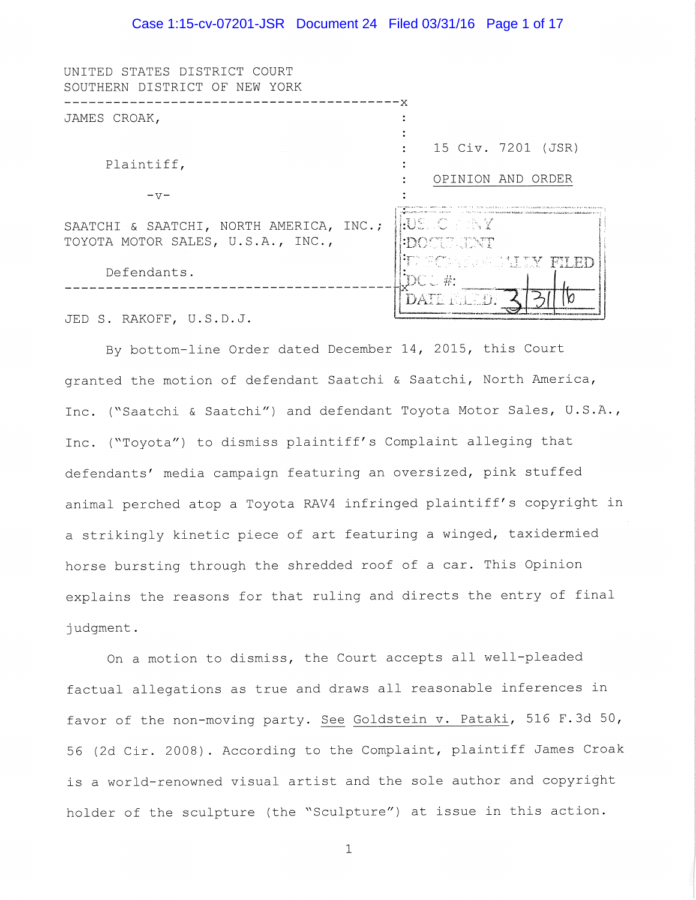#### Case 1:15-cv-07201-JSR Document 24 Filed 03/31/16 Page 1 of 17

| UNITED STATES DISTRICT COURT<br>SOUTHERN DISTRICT OF NEW YORK                |                                                      |
|------------------------------------------------------------------------------|------------------------------------------------------|
|                                                                              |                                                      |
| JAMES CROAK,<br>Plaintiff,                                                   |                                                      |
|                                                                              |                                                      |
|                                                                              | 15 Civ. 7201 (JSR)                                   |
|                                                                              |                                                      |
|                                                                              | OPINION AND ORDER                                    |
| $-77-$                                                                       |                                                      |
| SAATCHI & SAATCHI, NORTH AMERICA, INC.;<br>TOYOTA MOTOR SALES, U.S.A., INC., | HJSO OSNY<br><b>DOCULENT</b>                         |
| Defendants.                                                                  | <b>IF SCALLATION TILED</b><br>$\mathrm{DC}\subset K$ |
|                                                                              | DATE FALLO.                                          |

JED S. RAKOFF, U.S.D.J.

By bottom-line Order dated December 14, 2015, this Court granted the motion of defendant Saatchi & Saatchi, North America, Inc. ("Saatchi & Saatchi") and defendant Toyota Motor Sales, U.S.A., Inc. ("Toyota") to dismiss plaintiff's Complaint alleging that defendants' media campaign featuring an oversized, pink stuffed animal perched atop a Toyota RAV4 infringed plaintiff's copyright in a strikingly kinetic piece of art featuring a winged, taxidermied horse bursting through the shredded roof of a car. This Opinion explains the reasons for that ruling and directs the entry of final judgment.

On a motion to dismiss, the Court accepts all well-pleaded factual allegations as true and draws all reasonable inferences in favor of the non-moving party. See Goldstein v. Pataki, 516 F.3d 50, 56 (2d Cir. 2008). According to the Complaint, plaintiff James Croak is a world-renowned visual artist and the sole author and copyright holder of the sculpture (the "Sculpture") at issue in this action.

 $\mathbf 1$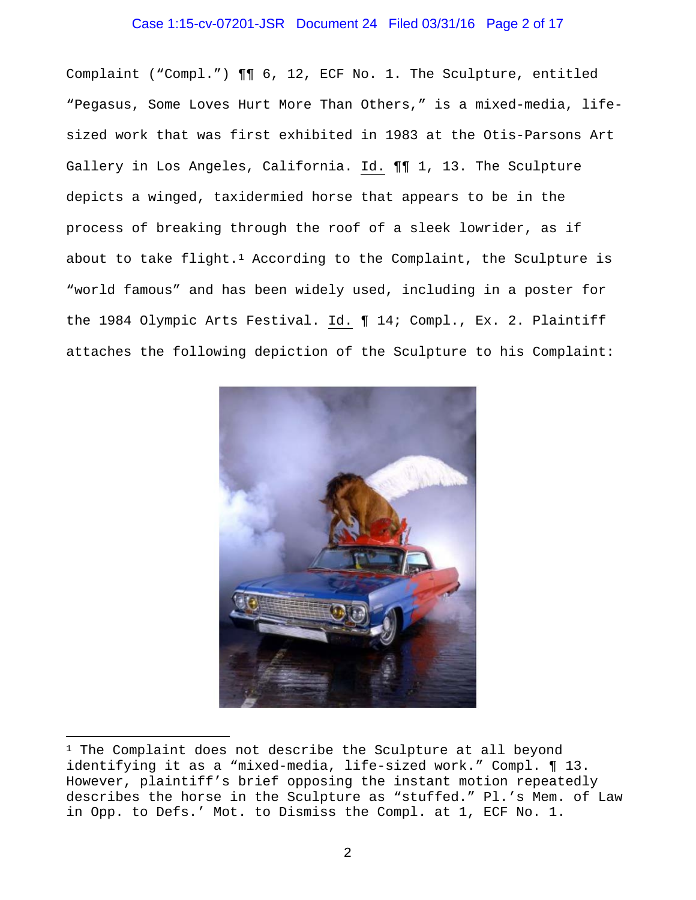### Case 1:15-cv-07201-JSR Document 24 Filed 03/31/16 Page 2 of 17

Complaint ("Compl.") ¶¶ 6, 12, ECF No. 1. The Sculpture, entitled "Pegasus, Some Loves Hurt More Than Others," is a mixed-media, lifesized work that was first exhibited in 1983 at the Otis-Parsons Art Gallery in Los Angeles, California. Id. ¶¶ 1, 13. The Sculpture depicts a winged, taxidermied horse that appears to be in the process of breaking through the roof of a sleek lowrider, as if about to take flight.<sup>[1](#page-1-0)</sup> According to the Complaint, the Sculpture is "world famous" and has been widely used, including in a poster for the 1984 Olympic Arts Festival. Id. ¶ 14; Compl., Ex. 2. Plaintiff attaches the following depiction of the Sculpture to his Complaint:

<span id="page-1-0"></span>

<sup>&</sup>lt;sup>1</sup> The Complaint does not describe the Sculpture at all beyond identifying it as a "mixed-media, life-sized work." Compl. ¶ 13. However, plaintiff's brief opposing the instant motion repeatedly describes the horse in the Sculpture as "stuffed." Pl.'s Mem. of Law in Opp. to Defs.' Mot. to Dismiss the Compl. at 1, ECF No. 1.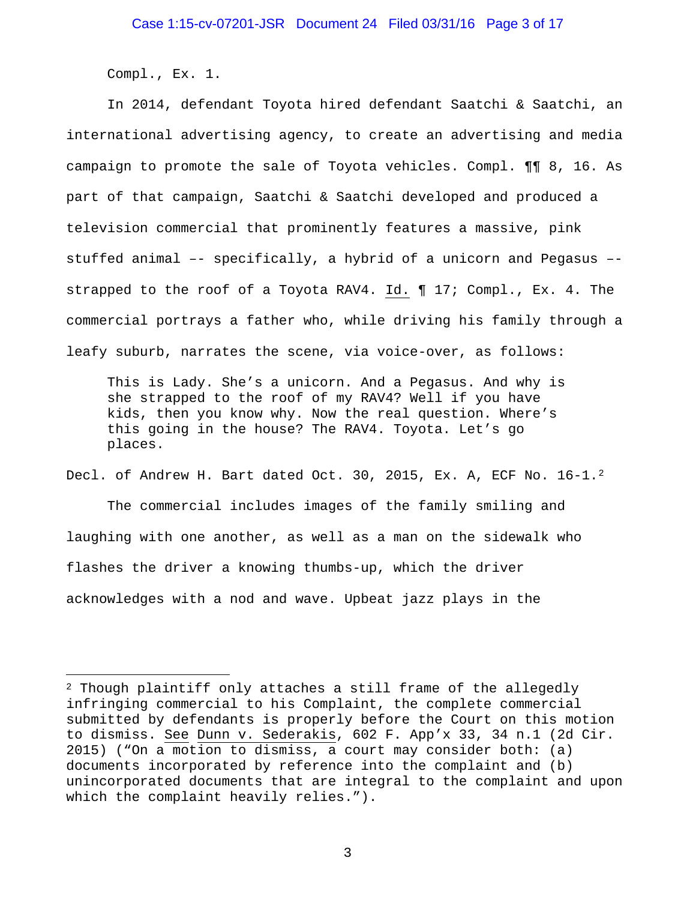Compl., Ex. 1.

<u>.</u>

In 2014, defendant Toyota hired defendant Saatchi & Saatchi, an international advertising agency, to create an advertising and media campaign to promote the sale of Toyota vehicles. Compl. ¶¶ 8, 16. As part of that campaign, Saatchi & Saatchi developed and produced a television commercial that prominently features a massive, pink stuffed animal –- specifically, a hybrid of a unicorn and Pegasus – strapped to the roof of a Toyota RAV4. Id. ¶ 17; Compl., Ex. 4. The commercial portrays a father who, while driving his family through a leafy suburb, narrates the scene, via voice-over, as follows:

This is Lady. She's a unicorn. And a Pegasus. And why is she strapped to the roof of my RAV4? Well if you have kids, then you know why. Now the real question. Where's this going in the house? The RAV4. Toyota. Let's go places.

Decl. of Andrew H. Bart dated Oct. 30, [2](#page-2-0)015, Ex. A, ECF No. 16-1.<sup>2</sup> The commercial includes images of the family smiling and laughing with one another, as well as a man on the sidewalk who flashes the driver a knowing thumbs-up, which the driver acknowledges with a nod and wave. Upbeat jazz plays in the

<span id="page-2-0"></span><sup>2</sup> Though plaintiff only attaches a still frame of the allegedly infringing commercial to his Complaint, the complete commercial submitted by defendants is properly before the Court on this motion to dismiss. See Dunn v. Sederakis, 602 F. App'x 33, 34 n.1 (2d Cir. 2015) ("On a motion to dismiss, a court may consider both: (a) documents incorporated by reference into the complaint and (b) unincorporated documents that are integral to the complaint and upon which the complaint heavily relies.").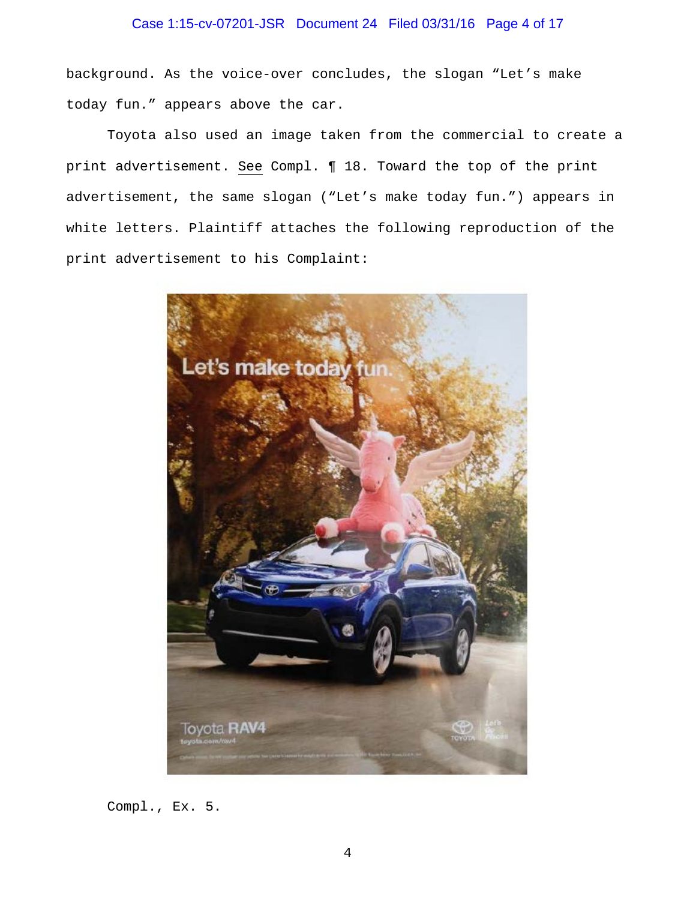## Case 1:15-cv-07201-JSR Document 24 Filed 03/31/16 Page 4 of 17

background. As the voice-over concludes, the slogan "Let's make today fun." appears above the car.

Toyota also used an image taken from the commercial to create a print advertisement. See Compl. ¶ 18. Toward the top of the print advertisement, the same slogan ("Let's make today fun.") appears in white letters. Plaintiff attaches the following reproduction of the print advertisement to his Complaint:



Compl., Ex. 5.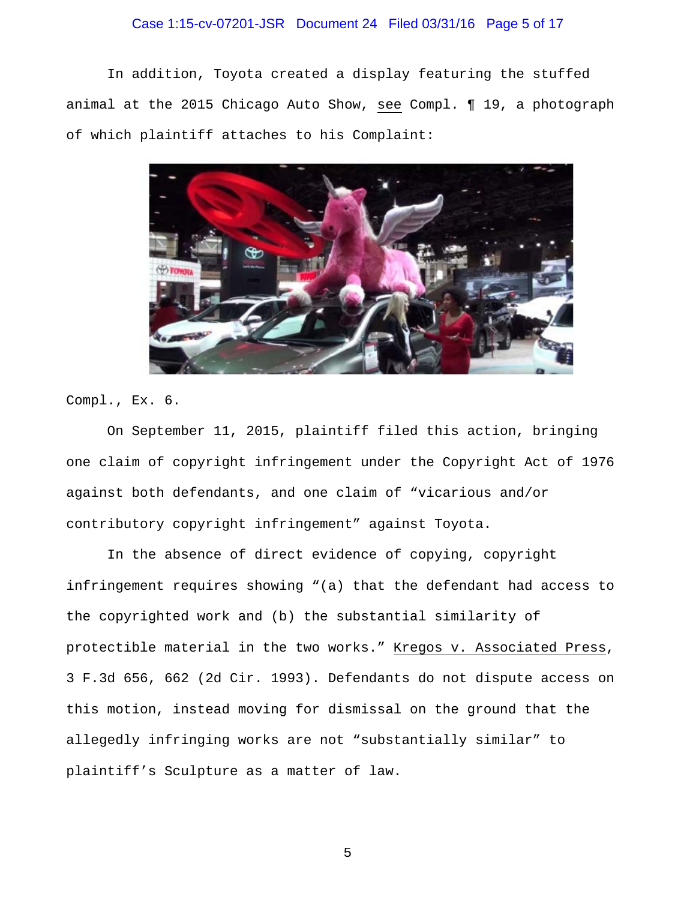## Case 1:15-cv-07201-JSR Document 24 Filed 03/31/16 Page 5 of 17

In addition, Toyota created a display featuring the stuffed animal at the 2015 Chicago Auto Show, see Compl. ¶ 19, a photograph of which plaintiff attaches to his Complaint:



Compl., Ex. 6.

On September 11, 2015, plaintiff filed this action, bringing one claim of copyright infringement under the Copyright Act of 1976 against both defendants, and one claim of "vicarious and/or contributory copyright infringement" against Toyota.

In the absence of direct evidence of copying, copyright infringement requires showing "(a) that the defendant had access to the copyrighted work and (b) the substantial similarity of protectible material in the two works." Kregos v. Associated Press, 3 F.3d 656, 662 (2d Cir. 1993). Defendants do not dispute access on this motion, instead moving for dismissal on the ground that the allegedly infringing works are not "substantially similar" to plaintiff's Sculpture as a matter of law.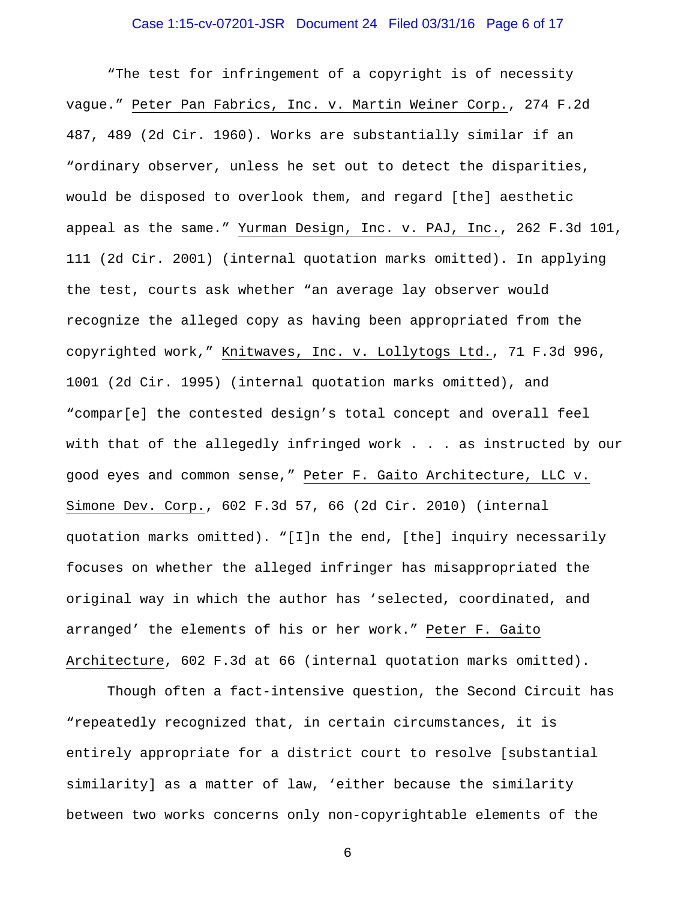## Case 1:15-cv-07201-JSR Document 24 Filed 03/31/16 Page 6 of 17

"The test for infringement of a copyright is of necessity vague." Peter Pan Fabrics, Inc. v. Martin Weiner Corp., 274 F.2d 487, 489 (2d Cir. 1960). Works are substantially similar if an "ordinary observer, unless he set out to detect the disparities, would be disposed to overlook them, and regard [the] aesthetic appeal as the same." Yurman Design, Inc. v. PAJ, Inc., 262 F.3d 101, 111 (2d Cir. 2001) (internal quotation marks omitted). In applying the test, courts ask whether "an average lay observer would recognize the alleged copy as having been appropriated from the copyrighted work," Knitwaves, Inc. v. Lollytogs Ltd., 71 F.3d 996, 1001 (2d Cir. 1995) (internal quotation marks omitted), and "compar[e] the contested design's total concept and overall feel with that of the allegedly infringed work . . . as instructed by our good eyes and common sense," Peter F. Gaito Architecture, LLC v. Simone Dev. Corp., 602 F.3d 57, 66 (2d Cir. 2010) (internal quotation marks omitted). "[I]n the end, [the] inquiry necessarily focuses on whether the alleged infringer has misappropriated the original way in which the author has 'selected, coordinated, and arranged' the elements of his or her work." Peter F. Gaito Architecture, 602 F.3d at 66 (internal quotation marks omitted).

Though often a fact-intensive question, the Second Circuit has "repeatedly recognized that, in certain circumstances, it is entirely appropriate for a district court to resolve [substantial similarity] as a matter of law, 'either because the similarity between two works concerns only non-copyrightable elements of the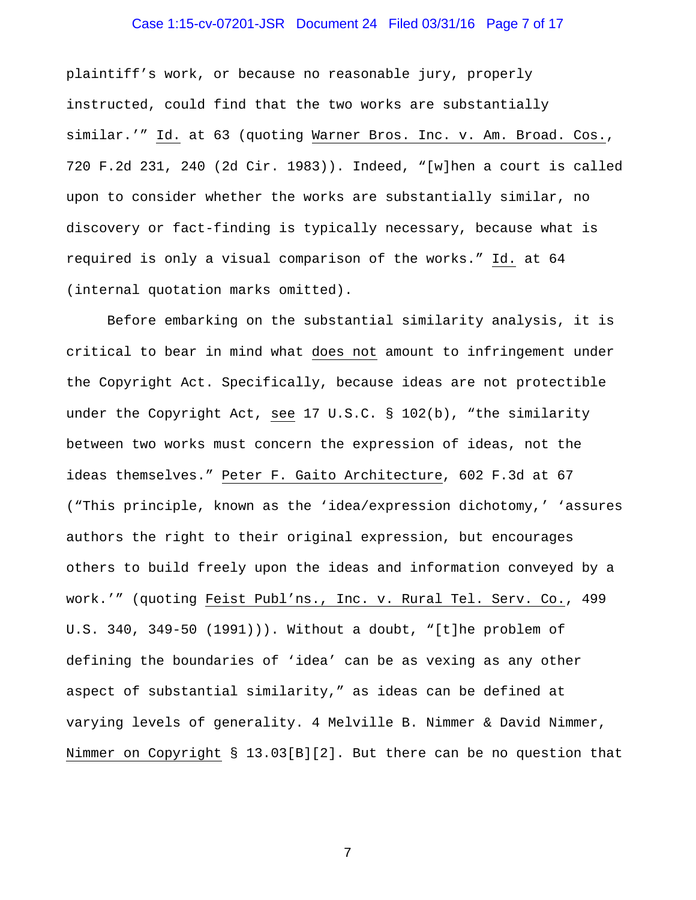# Case 1:15-cv-07201-JSR Document 24 Filed 03/31/16 Page 7 of 17

plaintiff's work, or because no reasonable jury, properly instructed, could find that the two works are substantially similar.'" Id. at 63 (quoting Warner Bros. Inc. v. Am. Broad. Cos., 720 F.2d 231, 240 (2d Cir. 1983)). Indeed, "[w]hen a court is called upon to consider whether the works are substantially similar, no discovery or fact-finding is typically necessary, because what is required is only a visual comparison of the works." Id. at 64 (internal quotation marks omitted).

Before embarking on the substantial similarity analysis, it is critical to bear in mind what does not amount to infringement under the Copyright Act. Specifically, because ideas are not protectible under the Copyright Act, see 17 U.S.C. § 102(b), "the similarity between two works must concern the expression of ideas, not the ideas themselves." Peter F. Gaito Architecture, 602 F.3d at 67 ("This principle, known as the 'idea/expression dichotomy,' 'assures authors the right to their original expression, but encourages others to build freely upon the ideas and information conveyed by a work.'" (quoting Feist Publ'ns., Inc. v. Rural Tel. Serv. Co., 499 U.S. 340, 349-50 (1991))). Without a doubt, "[t]he problem of defining the boundaries of 'idea' can be as vexing as any other aspect of substantial similarity," as ideas can be defined at varying levels of generality. 4 Melville B. Nimmer & David Nimmer, Nimmer on Copyright § 13.03[B][2]. But there can be no question that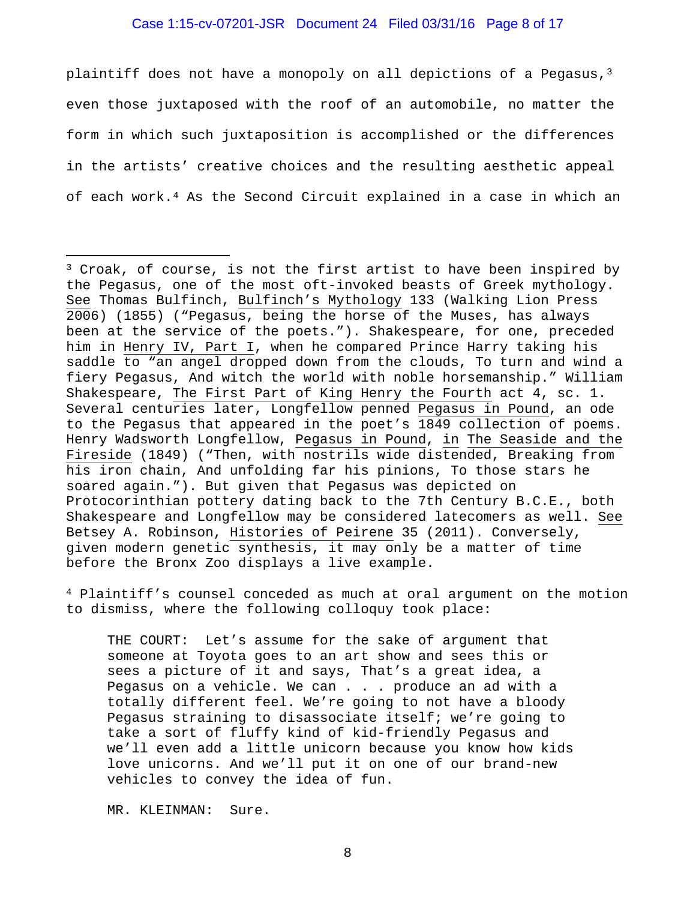#### Case 1:15-cv-07201-JSR Document 24 Filed 03/31/16 Page 8 of 17

plaintiff does not have a monopoly on all depictions of a Pegasus,<sup>[3](#page-7-0)</sup> even those juxtaposed with the roof of an automobile, no matter the form in which such juxtaposition is accomplished or the differences in the artists' creative choices and the resulting aesthetic appeal of each work.[4](#page-7-1) As the Second Circuit explained in a case in which an

<span id="page-7-1"></span><sup>4</sup> Plaintiff's counsel conceded as much at oral argument on the motion to dismiss, where the following colloquy took place:

THE COURT: Let's assume for the sake of argument that someone at Toyota goes to an art show and sees this or sees a picture of it and says, That's a great idea, a Pegasus on a vehicle. We can . . . produce an ad with a totally different feel. We're going to not have a bloody Pegasus straining to disassociate itself; we're going to take a sort of fluffy kind of kid-friendly Pegasus and we'll even add a little unicorn because you know how kids love unicorns. And we'll put it on one of our brand-new vehicles to convey the idea of fun.

MR. KLEINMAN: Sure.

<span id="page-7-0"></span><sup>3</sup> Croak, of course, is not the first artist to have been inspired by the Pegasus, one of the most oft-invoked beasts of Greek mythology. See Thomas Bulfinch, Bulfinch's Mythology 133 (Walking Lion Press 2006) (1855) ("Pegasus, being the horse of the Muses, has always been at the service of the poets."). Shakespeare, for one, preceded him in Henry IV, Part I, when he compared Prince Harry taking his saddle to "an angel dropped down from the clouds, To turn and wind a fiery Pegasus, And witch the world with noble horsemanship." William Shakespeare, The First Part of King Henry the Fourth act 4, sc. 1. Several centuries later, Longfellow penned Pegasus in Pound, an ode to the Pegasus that appeared in the poet's 1849 collection of poems. Henry Wadsworth Longfellow, Pegasus in Pound, in The Seaside and the Fireside (1849) ("Then, with nostrils wide distended, Breaking from his iron chain, And unfolding far his pinions, To those stars he soared again."). But given that Pegasus was depicted on Protocorinthian pottery dating back to the 7th Century B.C.E., both Shakespeare and Longfellow may be considered latecomers as well. See Betsey A. Robinson, Histories of Peirene 35 (2011). Conversely, given modern genetic synthesis, it may only be a matter of time before the Bronx Zoo displays a live example.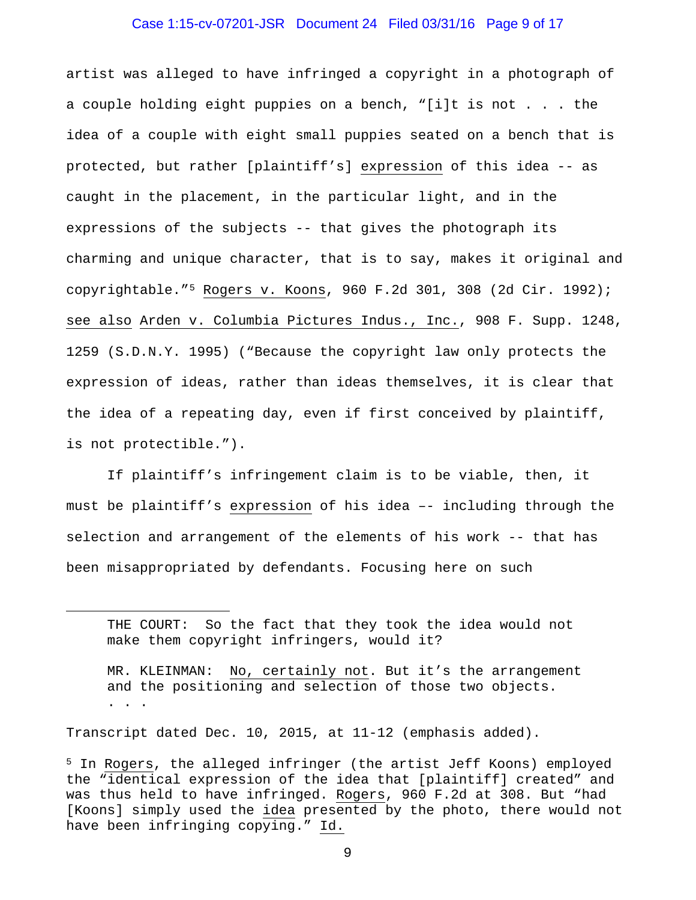#### Case 1:15-cv-07201-JSR Document 24 Filed 03/31/16 Page 9 of 17

artist was alleged to have infringed a copyright in a photograph of a couple holding eight puppies on a bench, "[i]t is not . . . the idea of a couple with eight small puppies seated on a bench that is protected, but rather [plaintiff's] expression of this idea -- as caught in the placement, in the particular light, and in the expressions of the subjects -- that gives the photograph its charming and unique character, that is to say, makes it original and copyrightable."[5](#page-8-0) Rogers v. Koons, 960 F.2d 301, 308 (2d Cir. 1992); see also Arden v. Columbia Pictures Indus., Inc., 908 F. Supp. 1248, 1259 (S.D.N.Y. 1995) ("Because the copyright law only protects the expression of ideas, rather than ideas themselves, it is clear that the idea of a repeating day, even if first conceived by plaintiff, is not protectible.").

If plaintiff's infringement claim is to be viable, then, it must be plaintiff's expression of his idea –- including through the selection and arrangement of the elements of his work -- that has been misappropriated by defendants. Focusing here on such

Transcript dated Dec. 10, 2015, at 11-12 (emphasis added).

-

THE COURT: So the fact that they took the idea would not make them copyright infringers, would it?

MR. KLEINMAN: No, certainly not. But it's the arrangement and the positioning and selection of those two objects. . . .

<span id="page-8-0"></span><sup>5</sup> In Rogers, the alleged infringer (the artist Jeff Koons) employed the "identical expression of the idea that [plaintiff] created" and was thus held to have infringed. Rogers, 960 F.2d at 308. But "had [Koons] simply used the idea presented by the photo, there would not have been infringing copying." Id.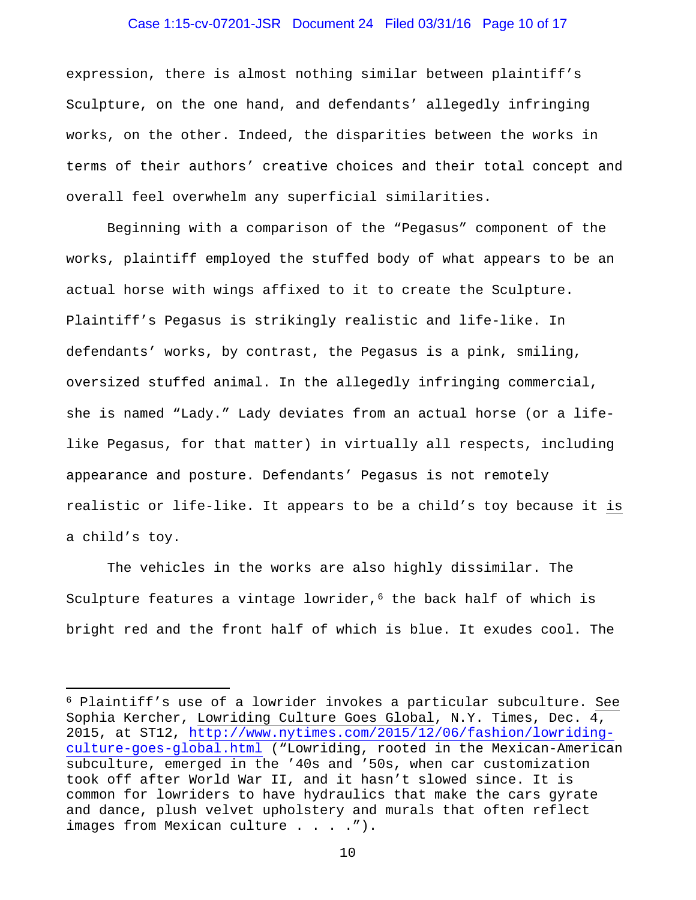#### Case 1:15-cv-07201-JSR Document 24 Filed 03/31/16 Page 10 of 17

expression, there is almost nothing similar between plaintiff's Sculpture, on the one hand, and defendants' allegedly infringing works, on the other. Indeed, the disparities between the works in terms of their authors' creative choices and their total concept and overall feel overwhelm any superficial similarities.

Beginning with a comparison of the "Pegasus" component of the works, plaintiff employed the stuffed body of what appears to be an actual horse with wings affixed to it to create the Sculpture. Plaintiff's Pegasus is strikingly realistic and life-like. In defendants' works, by contrast, the Pegasus is a pink, smiling, oversized stuffed animal. In the allegedly infringing commercial, she is named "Lady." Lady deviates from an actual horse (or a lifelike Pegasus, for that matter) in virtually all respects, including appearance and posture. Defendants' Pegasus is not remotely realistic or life-like. It appears to be a child's toy because it is a child's toy.

The vehicles in the works are also highly dissimilar. The Sculpture features a vintage lowrider,<sup>[6](#page-9-0)</sup> the back half of which is bright red and the front half of which is blue. It exudes cool. The

<span id="page-9-0"></span><sup>6</sup> Plaintiff's use of a lowrider invokes a particular subculture. See Sophia Kercher, Lowriding Culture Goes Global, N.Y. Times, Dec. 4, 2015, at ST12, [http://www.nytimes.com/2015/12/06/fashion/lowriding](http://www.nytimes.com/2015/12/06/fashion/lowriding-culture-goes-global.html)[culture-goes-global.html](http://www.nytimes.com/2015/12/06/fashion/lowriding-culture-goes-global.html) ("Lowriding, rooted in the Mexican-American subculture, emerged in the '40s and '50s, when car customization took off after World War II, and it hasn't slowed since. It is common for lowriders to have hydraulics that make the cars gyrate and dance, plush velvet upholstery and murals that often reflect images from Mexican culture . . . . ").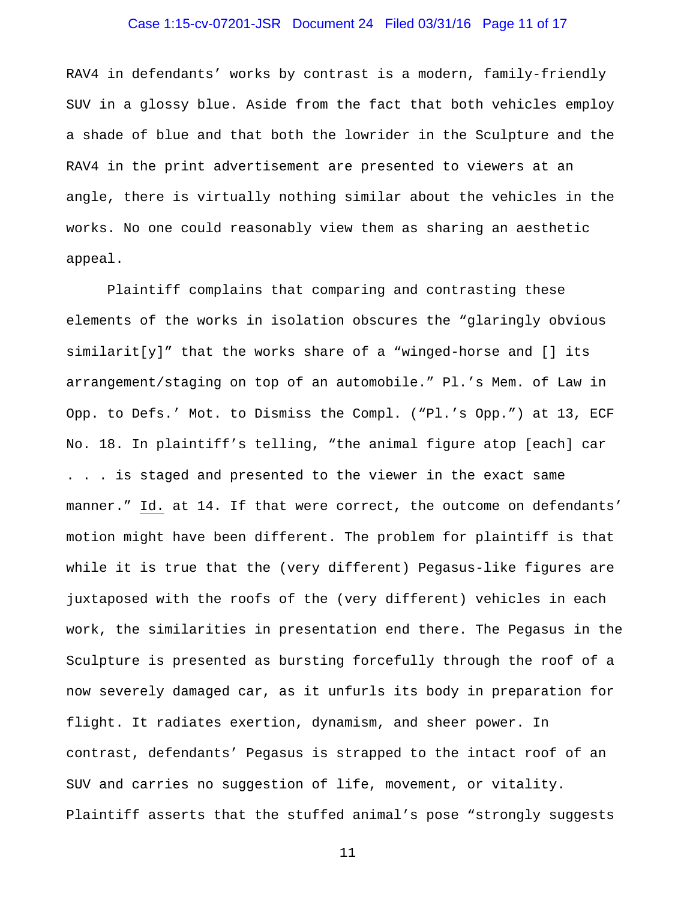## Case 1:15-cv-07201-JSR Document 24 Filed 03/31/16 Page 11 of 17

RAV4 in defendants' works by contrast is a modern, family-friendly SUV in a glossy blue. Aside from the fact that both vehicles employ a shade of blue and that both the lowrider in the Sculpture and the RAV4 in the print advertisement are presented to viewers at an angle, there is virtually nothing similar about the vehicles in the works. No one could reasonably view them as sharing an aesthetic appeal.

Plaintiff complains that comparing and contrasting these elements of the works in isolation obscures the "glaringly obvious  $simplify$   $"$  that the works share of a "winged-horse and  $[]$  its arrangement/staging on top of an automobile." Pl.'s Mem. of Law in Opp. to Defs.' Mot. to Dismiss the Compl. ("Pl.'s Opp.") at 13, ECF No. 18. In plaintiff's telling, "the animal figure atop [each] car . . . is staged and presented to the viewer in the exact same manner." Id. at 14. If that were correct, the outcome on defendants' motion might have been different. The problem for plaintiff is that while it is true that the (very different) Pegasus-like figures are juxtaposed with the roofs of the (very different) vehicles in each work, the similarities in presentation end there. The Pegasus in the Sculpture is presented as bursting forcefully through the roof of a now severely damaged car, as it unfurls its body in preparation for flight. It radiates exertion, dynamism, and sheer power. In contrast, defendants' Pegasus is strapped to the intact roof of an SUV and carries no suggestion of life, movement, or vitality. Plaintiff asserts that the stuffed animal's pose "strongly suggests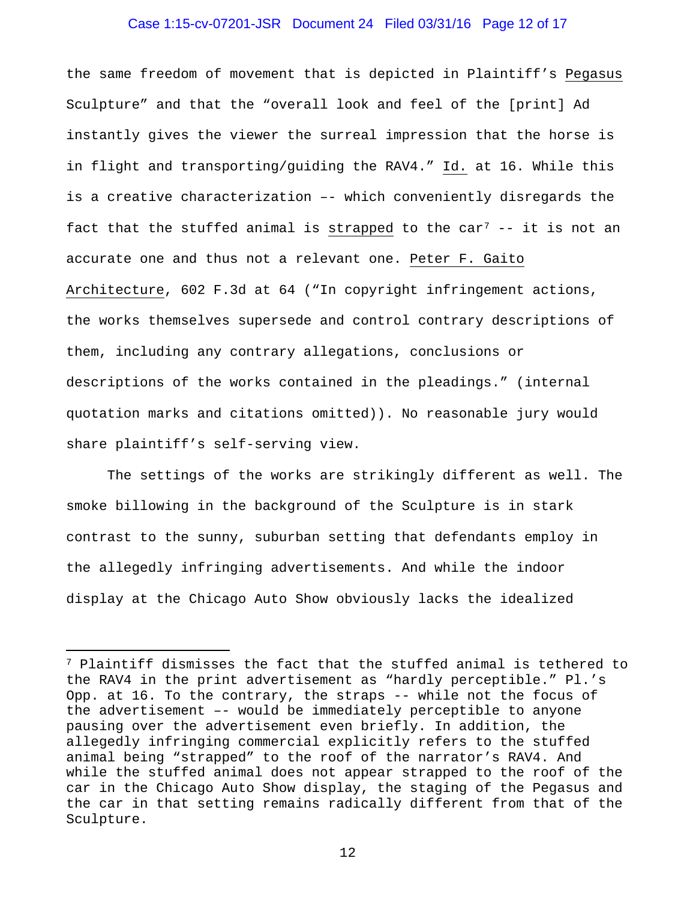#### Case 1:15-cv-07201-JSR Document 24 Filed 03/31/16 Page 12 of 17

the same freedom of movement that is depicted in Plaintiff's Pegasus Sculpture" and that the "overall look and feel of the [print] Ad instantly gives the viewer the surreal impression that the horse is in flight and transporting/guiding the RAV4." Id. at 16. While this is a creative characterization –- which conveniently disregards the fact that the stuffed animal is strapped to the car<sup>[7](#page-11-0)</sup>  $-$  it is not an accurate one and thus not a relevant one. Peter F. Gaito Architecture, 602 F.3d at 64 ("In copyright infringement actions, the works themselves supersede and control contrary descriptions of them, including any contrary allegations, conclusions or descriptions of the works contained in the pleadings." (internal quotation marks and citations omitted)). No reasonable jury would share plaintiff's self-serving view.

The settings of the works are strikingly different as well. The smoke billowing in the background of the Sculpture is in stark contrast to the sunny, suburban setting that defendants employ in the allegedly infringing advertisements. And while the indoor display at the Chicago Auto Show obviously lacks the idealized

-

<span id="page-11-0"></span><sup>7</sup> Plaintiff dismisses the fact that the stuffed animal is tethered to the RAV4 in the print advertisement as "hardly perceptible." Pl.'s Opp. at 16. To the contrary, the straps -- while not the focus of the advertisement –- would be immediately perceptible to anyone pausing over the advertisement even briefly. In addition, the allegedly infringing commercial explicitly refers to the stuffed animal being "strapped" to the roof of the narrator's RAV4. And while the stuffed animal does not appear strapped to the roof of the car in the Chicago Auto Show display, the staging of the Pegasus and the car in that setting remains radically different from that of the Sculpture.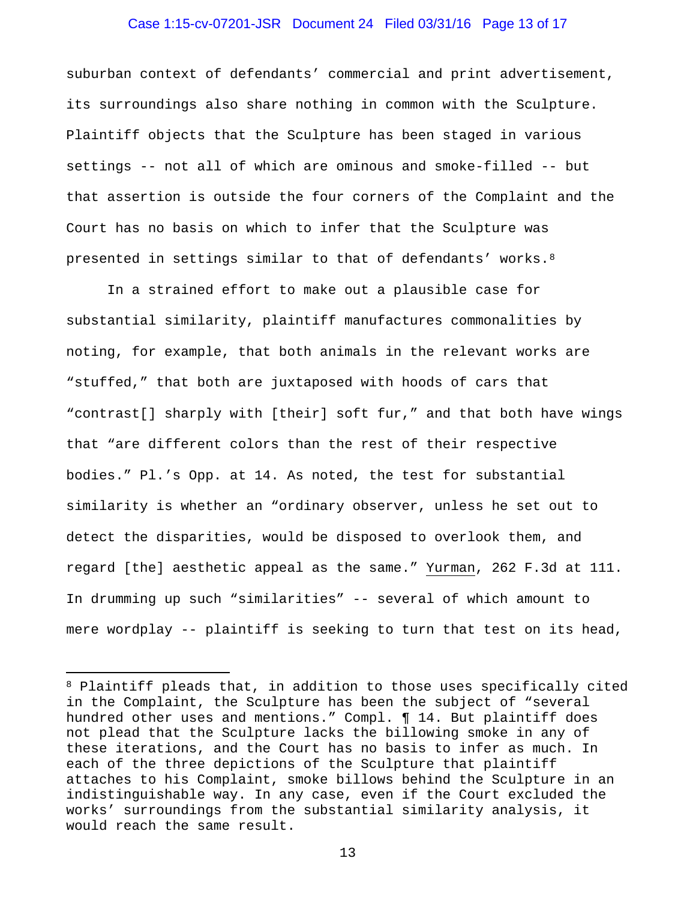#### Case 1:15-cv-07201-JSR Document 24 Filed 03/31/16 Page 13 of 17

suburban context of defendants' commercial and print advertisement, its surroundings also share nothing in common with the Sculpture. Plaintiff objects that the Sculpture has been staged in various settings -- not all of which are ominous and smoke-filled -- but that assertion is outside the four corners of the Complaint and the Court has no basis on which to infer that the Sculpture was presented in settings similar to that of defendants' works.[8](#page-12-0)

In a strained effort to make out a plausible case for substantial similarity, plaintiff manufactures commonalities by noting, for example, that both animals in the relevant works are "stuffed," that both are juxtaposed with hoods of cars that "contrast[] sharply with [their] soft fur," and that both have wings that "are different colors than the rest of their respective bodies." Pl.'s Opp. at 14. As noted, the test for substantial similarity is whether an "ordinary observer, unless he set out to detect the disparities, would be disposed to overlook them, and regard [the] aesthetic appeal as the same." Yurman, 262 F.3d at 111. In drumming up such "similarities" -- several of which amount to mere wordplay -- plaintiff is seeking to turn that test on its head,

-

<span id="page-12-0"></span><sup>8</sup> Plaintiff pleads that, in addition to those uses specifically cited in the Complaint, the Sculpture has been the subject of "several hundred other uses and mentions." Compl. ¶ 14. But plaintiff does not plead that the Sculpture lacks the billowing smoke in any of these iterations, and the Court has no basis to infer as much. In each of the three depictions of the Sculpture that plaintiff attaches to his Complaint, smoke billows behind the Sculpture in an indistinguishable way. In any case, even if the Court excluded the works' surroundings from the substantial similarity analysis, it would reach the same result.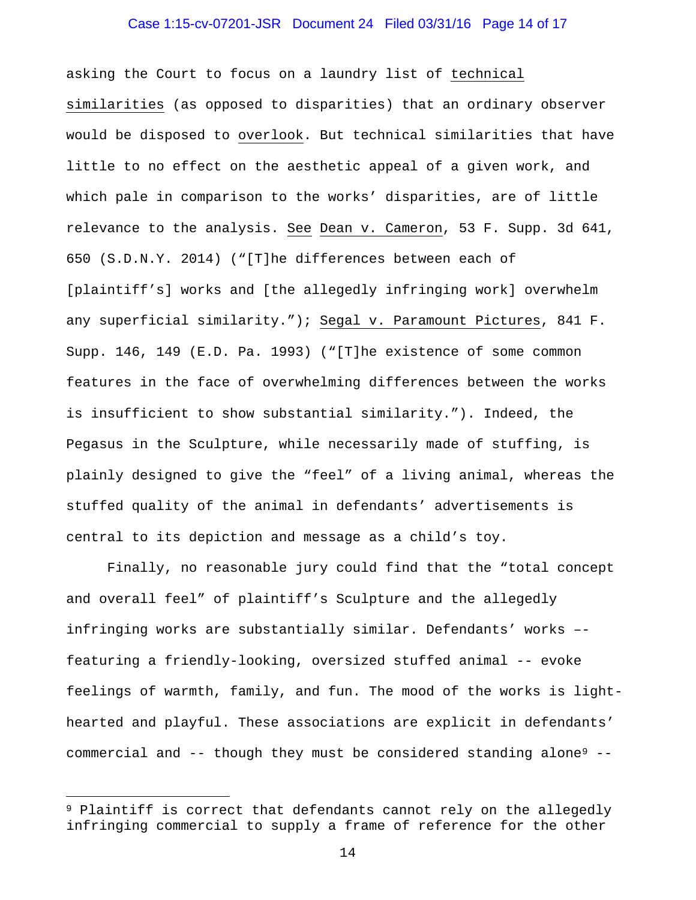#### Case 1:15-cv-07201-JSR Document 24 Filed 03/31/16 Page 14 of 17

asking the Court to focus on a laundry list of technical similarities (as opposed to disparities) that an ordinary observer would be disposed to overlook. But technical similarities that have little to no effect on the aesthetic appeal of a given work, and which pale in comparison to the works' disparities, are of little relevance to the analysis. See Dean v. Cameron, 53 F. Supp. 3d 641, 650 (S.D.N.Y. 2014) ("[T]he differences between each of [plaintiff's] works and [the allegedly infringing work] overwhelm any superficial similarity."); Segal v. Paramount Pictures, 841 F. Supp. 146, 149 (E.D. Pa. 1993) ("[T]he existence of some common features in the face of overwhelming differences between the works is insufficient to show substantial similarity."). Indeed, the Pegasus in the Sculpture, while necessarily made of stuffing, is plainly designed to give the "feel" of a living animal, whereas the stuffed quality of the animal in defendants' advertisements is central to its depiction and message as a child's toy.

Finally, no reasonable jury could find that the "total concept and overall feel" of plaintiff's Sculpture and the allegedly infringing works are substantially similar. Defendants' works – featuring a friendly-looking, oversized stuffed animal -- evoke feelings of warmth, family, and fun. The mood of the works is lighthearted and playful. These associations are explicit in defendants' commercial and -- though they must be considered standing alone<sup>[9](#page-13-0)</sup> --

<span id="page-13-0"></span><sup>9</sup> Plaintiff is correct that defendants cannot rely on the allegedly infringing commercial to supply a frame of reference for the other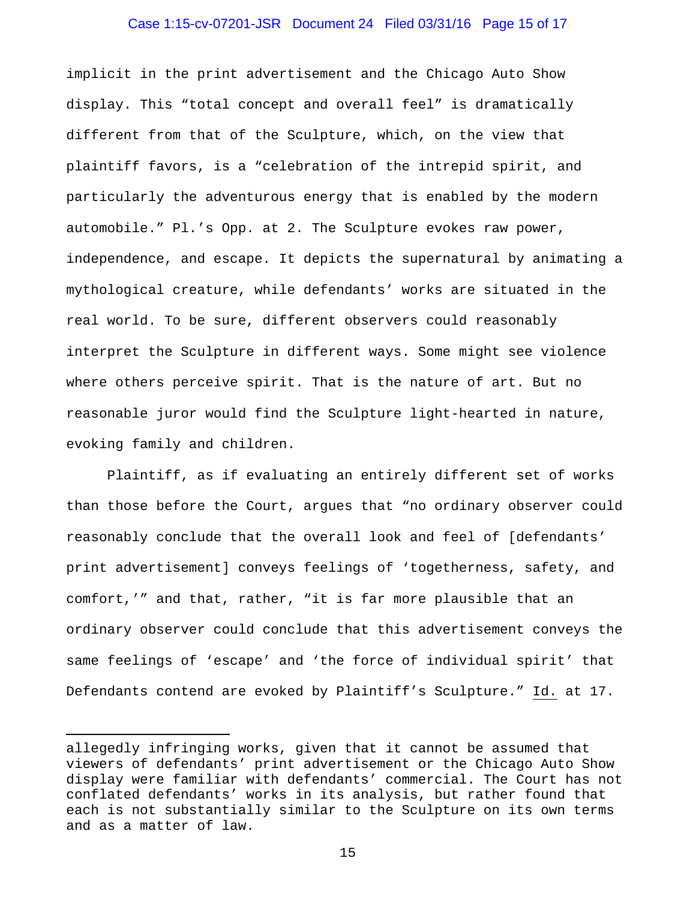#### Case 1:15-cv-07201-JSR Document 24 Filed 03/31/16 Page 15 of 17

implicit in the print advertisement and the Chicago Auto Show display. This "total concept and overall feel" is dramatically different from that of the Sculpture, which, on the view that plaintiff favors, is a "celebration of the intrepid spirit, and particularly the adventurous energy that is enabled by the modern automobile." Pl.'s Opp. at 2. The Sculpture evokes raw power, independence, and escape. It depicts the supernatural by animating a mythological creature, while defendants' works are situated in the real world. To be sure, different observers could reasonably interpret the Sculpture in different ways. Some might see violence where others perceive spirit. That is the nature of art. But no reasonable juror would find the Sculpture light-hearted in nature, evoking family and children.

Plaintiff, as if evaluating an entirely different set of works than those before the Court, argues that "no ordinary observer could reasonably conclude that the overall look and feel of [defendants' print advertisement] conveys feelings of 'togetherness, safety, and comfort,'" and that, rather, "it is far more plausible that an ordinary observer could conclude that this advertisement conveys the same feelings of 'escape' and 'the force of individual spirit' that Defendants contend are evoked by Plaintiff's Sculpture." Id. at 17.

-

allegedly infringing works, given that it cannot be assumed that viewers of defendants' print advertisement or the Chicago Auto Show display were familiar with defendants' commercial. The Court has not conflated defendants' works in its analysis, but rather found that each is not substantially similar to the Sculpture on its own terms and as a matter of law.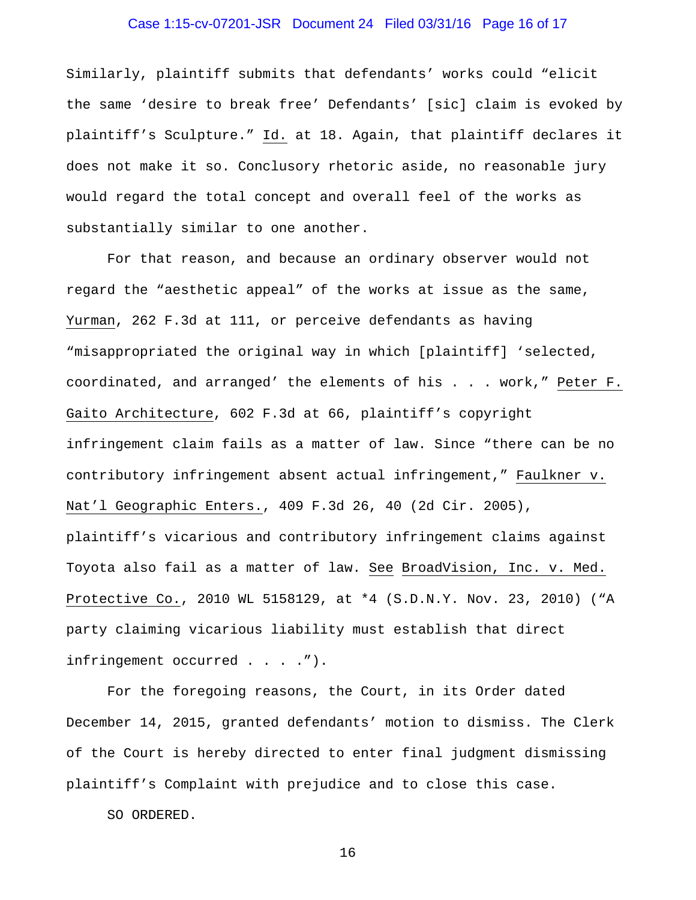## Case 1:15-cv-07201-JSR Document 24 Filed 03/31/16 Page 16 of 17

Similarly, plaintiff submits that defendants' works could "elicit the same 'desire to break free' Defendants' [sic] claim is evoked by plaintiff's Sculpture." Id. at 18. Again, that plaintiff declares it does not make it so. Conclusory rhetoric aside, no reasonable jury would regard the total concept and overall feel of the works as substantially similar to one another.

For that reason, and because an ordinary observer would not regard the "aesthetic appeal" of the works at issue as the same, Yurman, 262 F.3d at 111, or perceive defendants as having "misappropriated the original way in which [plaintiff] 'selected, coordinated, and arranged' the elements of his . . . work," Peter F. Gaito Architecture, 602 F.3d at 66, plaintiff's copyright infringement claim fails as a matter of law. Since "there can be no contributory infringement absent actual infringement," Faulkner v. Nat'l Geographic Enters., 409 F.3d 26, 40 (2d Cir. 2005), plaintiff's vicarious and contributory infringement claims against Toyota also fail as a matter of law. See BroadVision, Inc. v. Med. Protective Co., 2010 WL 5158129, at \*4 (S.D.N.Y. Nov. 23, 2010) ("A party claiming vicarious liability must establish that direct infringement occurred . . . .").

For the foregoing reasons, the Court, in its Order dated December 14, 2015, granted defendants' motion to dismiss. The Clerk of the Court is hereby directed to enter final judgment dismissing plaintiff's Complaint with prejudice and to close this case.

SO ORDERED.